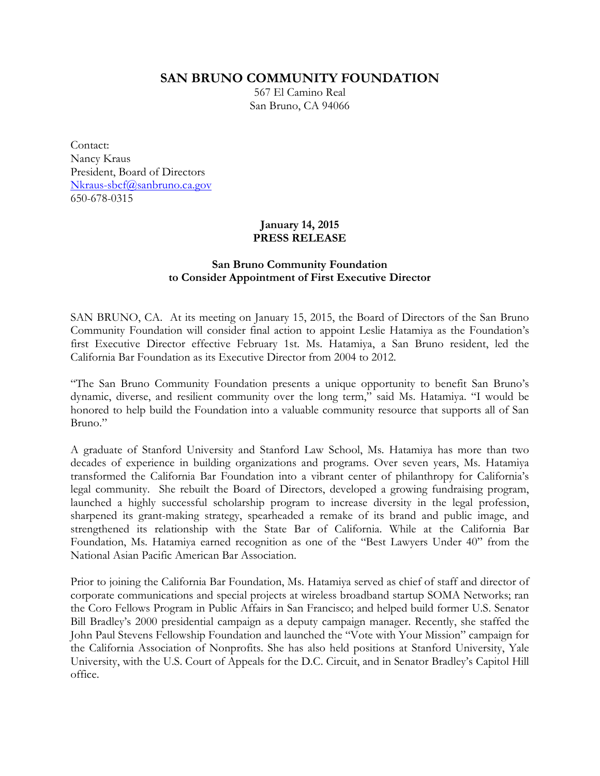**SAN BRUNO COMMUNITY FOUNDATION**

567 El Camino Real San Bruno, CA 94066

Contact: Nancy Kraus President, Board of Directors Nkraus-sbcf@sanbruno.ca.gov 650-678-0315

## **January 14, 2015 PRESS RELEASE**

## **San Bruno Community Foundation to Consider Appointment of First Executive Director**

SAN BRUNO, CA. At its meeting on January 15, 2015, the Board of Directors of the San Bruno Community Foundation will consider final action to appoint Leslie Hatamiya as the Foundation's first Executive Director effective February 1st. Ms. Hatamiya, a San Bruno resident, led the California Bar Foundation as its Executive Director from 2004 to 2012.

"The San Bruno Community Foundation presents a unique opportunity to benefit San Bruno's dynamic, diverse, and resilient community over the long term," said Ms. Hatamiya. "I would be honored to help build the Foundation into a valuable community resource that supports all of San Bruno."

A graduate of Stanford University and Stanford Law School, Ms. Hatamiya has more than two decades of experience in building organizations and programs. Over seven years, Ms. Hatamiya transformed the California Bar Foundation into a vibrant center of philanthropy for California's legal community. She rebuilt the Board of Directors, developed a growing fundraising program, launched a highly successful scholarship program to increase diversity in the legal profession, sharpened its grant-making strategy, spearheaded a remake of its brand and public image, and strengthened its relationship with the State Bar of California. While at the California Bar Foundation, Ms. Hatamiya earned recognition as one of the "Best Lawyers Under 40" from the National Asian Pacific American Bar Association.

Prior to joining the California Bar Foundation, Ms. Hatamiya served as chief of staff and director of corporate communications and special projects at wireless broadband startup SOMA Networks; ran the Coro Fellows Program in Public Affairs in San Francisco; and helped build former U.S. Senator Bill Bradley's 2000 presidential campaign as a deputy campaign manager. Recently, she staffed the John Paul Stevens Fellowship Foundation and launched the "Vote with Your Mission" campaign for the California Association of Nonprofits. She has also held positions at Stanford University, Yale University, with the U.S. Court of Appeals for the D.C. Circuit, and in Senator Bradley's Capitol Hill office.